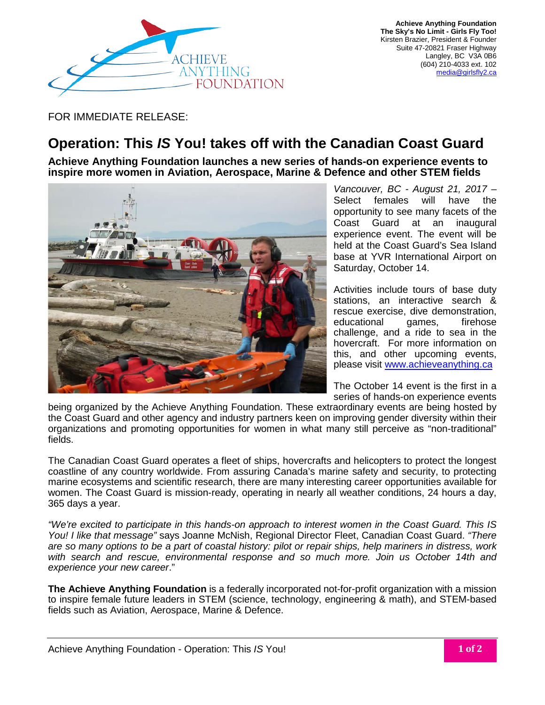

**Achieve Anything Foundation The Sky's No Limit - Girls Fly Too!** Kirsten Brazier, President & Founder Suite 47-20821 Fraser Highway Langley, BC V3A 0B6 (604) 210-4033 ext. 102 [media@girlsfly2.ca](mailto:media@girlsfly2.ca)

FOR IMMEDIATE RELEASE:

## **Operation: This** *IS* **You! takes off with the Canadian Coast Guard**

**Achieve Anything Foundation launches a new series of hands-on experience events to inspire more women in Aviation, Aerospace, Marine & Defence and other STEM fields**



*Vancouver, BC - August 21, 2017 –* Select females will have the opportunity to see many facets of the Coast Guard at an inaugural experience event. The event will be held at the Coast Guard's Sea Island base at YVR International Airport on Saturday, October 14.

Activities include tours of base duty stations, an interactive search & rescue exercise, dive demonstration, educational games, firehose challenge, and a ride to sea in the hovercraft. For more information on this, and other upcoming events, please visit [www.achieveanything.ca](http://www.achieveanything.ca/)

The October 14 event is the first in a series of hands-on experience events

being organized by the Achieve Anything Foundation. These extraordinary events are being hosted by the Coast Guard and other agency and industry partners keen on improving gender diversity within their organizations and promoting opportunities for women in what many still perceive as "non-traditional" fields.

The Canadian Coast Guard operates a fleet of ships, hovercrafts and helicopters to protect the longest coastline of any country worldwide. From assuring Canada's marine safety and security, to protecting marine ecosystems and scientific research, there are many interesting career opportunities available for women. The Coast Guard is mission-ready, operating in nearly all weather conditions, 24 hours a day, 365 days a year.

*"We're excited to participate in this hands-on approach to interest women in the Coast Guard. This IS You! I like that message"* says Joanne McNish, Regional Director Fleet, Canadian Coast Guard. *"There are so many options to be a part of coastal history: pilot or repair ships, help mariners in distress, work with search and rescue, environmental response and so much more. Join us October 14th and experience your new career*."

**The Achieve Anything Foundation** is a federally incorporated not-for-profit organization with a mission to inspire female future leaders in STEM (science, technology, engineering & math), and STEM-based fields such as Aviation, Aerospace, Marine & Defence.